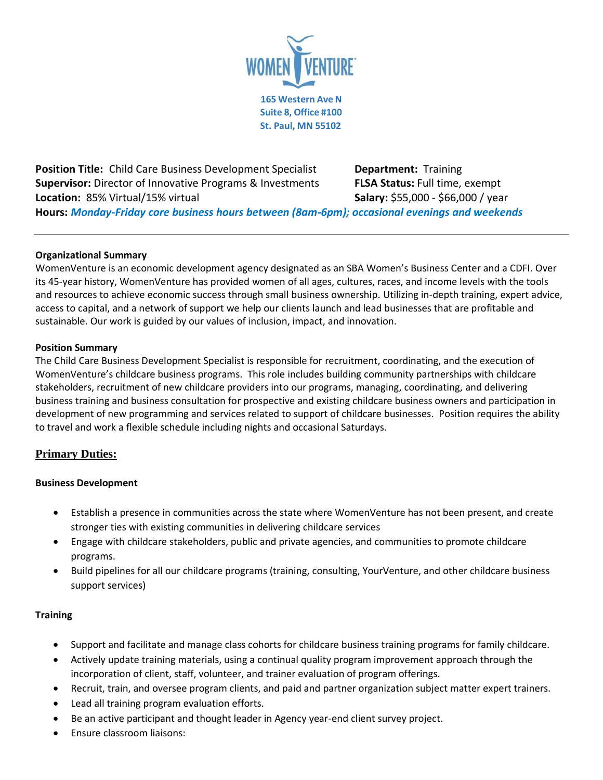

**Position Title:** Child Care Business Development Specialist **Department:** Training **Supervisor:** Director of Innovative Programs & Investments **FLSA Status:** Full time, exempt **Location:** 85% Virtual/15% virtual **Salary:** \$55,000 - \$66,000 / year **Hours:** *Monday-Friday core business hours between (8am-6pm); occasional evenings and weekends*

## **Organizational Summary**

WomenVenture is an economic development agency designated as an SBA Women's Business Center and a CDFI. Over its 45-year history, WomenVenture has provided women of all ages, cultures, races, and income levels with the tools and resources to achieve economic success through small business ownership. Utilizing in-depth training, expert advice, access to capital, and a network of support we help our clients launch and lead businesses that are profitable and sustainable. Our work is guided by our values of inclusion, impact, and innovation.

## **Position Summary**

The Child Care Business Development Specialist is responsible for recruitment, coordinating, and the execution of WomenVenture's childcare business programs. This role includes building community partnerships with childcare stakeholders, recruitment of new childcare providers into our programs, managing, coordinating, and delivering business training and business consultation for prospective and existing childcare business owners and participation in development of new programming and services related to support of childcare businesses. Position requires the ability to travel and work a flexible schedule including nights and occasional Saturdays.

# **Primary Duties:**

## **Business Development**

- Establish a presence in communities across the state where WomenVenture has not been present, and create stronger ties with existing communities in delivering childcare services
- Engage with childcare stakeholders, public and private agencies, and communities to promote childcare programs.
- Build pipelines for all our childcare programs (training, consulting, YourVenture, and other childcare business support services)

## **Training**

- Support and facilitate and manage class cohorts for childcare business training programs for family childcare.
- Actively update training materials, using a continual quality program improvement approach through the incorporation of client, staff, volunteer, and trainer evaluation of program offerings.
- Recruit, train, and oversee program clients, and paid and partner organization subject matter expert trainers.
- Lead all training program evaluation efforts.
- Be an active participant and thought leader in Agency year-end client survey project.
- Ensure classroom liaisons: